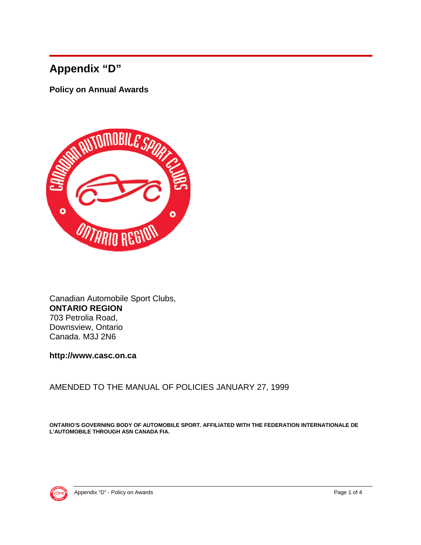# **Appendix "D"**

**Policy on Annual Awards** 



Canadian Automobile Sport Clubs, **ONTARIO REGION** 703 Petrolia Road, Downsview, Ontario Canada. M3J 2N6

**http://www.casc.on.ca** 

AMENDED TO THE MANUAL OF POLICIES JANUARY 27, 1999

**ONTARIO'S GOVERNING BODY OF AUTOMOBILE SPORT. AFFILIATED WITH THE FEDERATION INTERNATIONALE DE L'AUTOMOBILE THROUGH ASN CANADA FIA.**

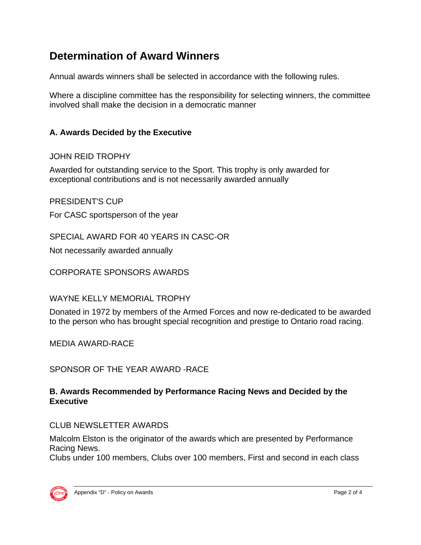## **Determination of Award Winners**

Annual awards winners shall be selected in accordance with the following rules.

Where a discipline committee has the responsibility for selecting winners, the committee involved shall make the decision in a democratic manner

## **A. Awards Decided by the Executive**

## JOHN REID TROPHY

Awarded for outstanding service to the Sport. This trophy is only awarded for exceptional contributions and is not necessarily awarded annually

## PRESIDENT'S CUP

For CASC sportsperson of the year

SPECIAL AWARD FOR 40 YEARS IN CASC-OR

Not necessarily awarded annually

CORPORATE SPONSORS AWARDS

#### WAYNE KELLY MEMORIAL TROPHY

Donated in 1972 by members of the Armed Forces and now re-dedicated to be awarded to the person who has brought special recognition and prestige to Ontario road racing.

MEDIA AWARD-RACE

SPONSOR OF THE YEAR AWARD -RACE

#### **B. Awards Recommended by Performance Racing News and Decided by the Executive**

## CLUB NEWSLETTER AWARDS

Malcolm Elston is the originator of the awards which are presented by Performance Racing News.

Clubs under 100 members, Clubs over 100 members, First and second in each class

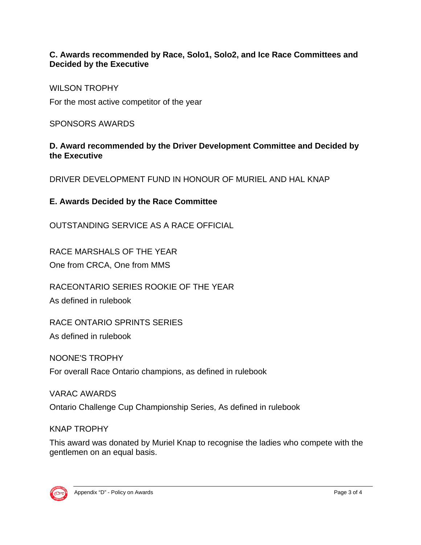### **C. Awards recommended by Race, Solo1, Solo2, and Ice Race Committees and Decided by the Executive**

WILSON TROPHY

For the most active competitor of the year

SPONSORS AWARDS

**D. Award recommended by the Driver Development Committee and Decided by the Executive** 

DRIVER DEVELOPMENT FUND IN HONOUR OF MURIEL AND HAL KNAP

## **E. Awards Decided by the Race Committee**

OUTSTANDING SERVICE AS A RACE OFFICIAL

RACE MARSHALS OF THE YEAR One from CRCA, One from MMS

RACEONTARIO SERIES ROOKIE OF THE YEAR

As defined in rulebook

RACE ONTARIO SPRINTS SERIES

As defined in rulebook

NOONE'S TROPHY

For overall Race Ontario champions, as defined in rulebook

VARAC AWARDS Ontario Challenge Cup Championship Series, As defined in rulebook

#### KNAP TROPHY

This award was donated by Muriel Knap to recognise the ladies who compete with the gentlemen on an equal basis.